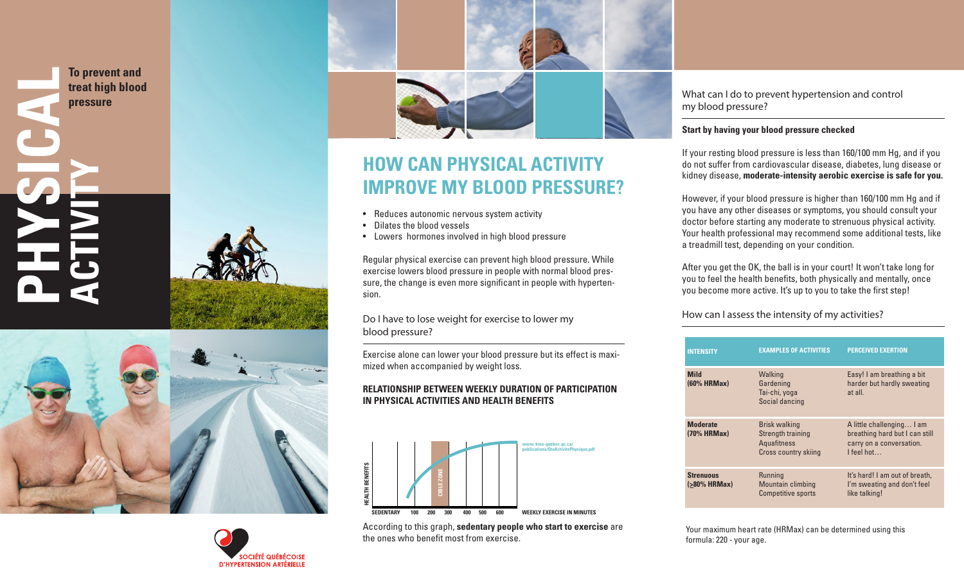**To prevent and treat high blood pressure** 

**ACTIVITY**

**PHYSICAL**









# **HOW CAN PHYSICAL ACTIVITY IMPROVE MY BLOOD PRESSURE?**

- Reduces autonomic nervous system activity Dilates the blood vessels
- 
- Lowers hormones involved in high blood pressure

Regular physical exercise can prevent high blood pressure. While exercise lowers blood pressure in people with normal blood pres sure, the change is even more significant in people with hyperten sion.

# Do I have to lose weight for exercise to lower my blood pressure?

Exercise alone can lower your blood pressure but its effect is maxi mized when accompanied by weight loss.

# **RELATIONSHIP BETWEEN WEEKLY DURATION OF PARTICIPATION IN PHYSICAL ACTIVITIES AND HEALTH BENEFITS**



According to this graph, **sedentary people who start to exercise** are the ones who benefit most from exercise.

What can I do to prevent hypertension and control my blood pressure?

## **Start by having your blood pressure checked**

If your resting blood pressure is less than 160/100 mm Hg, and if you do not suffer from cardiovascular disease, diabetes, lung disease or kidney disease, **moderate-intensity aerobic exercise is safe for you.**

However, if your blood pressure is higher than 160/100 mm Hg and if you have any other diseases or symptoms, you should consult your doctor before starting any moderate to strenuous physical activity. Your health professional may recommend some additional tests, like a treadmill test, depending on your condition.

After you get the OK, the ball is in your court! It won't take long for you to feel the health benefits, both physically and mentally, once you become more active. It's up to you to take the first step!

How can I assess the intensity of my activities?

| <b>INTENSITY</b>                      | <b>EXAMPLES OF ACTIVITIES</b>                                                                  | <b>PERCEIVED EXERTION</b>                                                                             |
|---------------------------------------|------------------------------------------------------------------------------------------------|-------------------------------------------------------------------------------------------------------|
| <b>Mild</b><br>$(60%$ HRMax $)$       | Walking<br>Gardening<br>Tai-chi, yoga<br>Social dancing                                        | Easy! I am breathing a bit<br>harder but hardly sweating<br>at all.                                   |
| <b>Moderate</b><br>$(70%$ HRMax)      | <b>Brisk walking</b><br>Strength training<br><b>Aquafitness</b><br><b>Cross country skiing</b> | A little challenging I am<br>breathing hard but I can still<br>carry on a conversation.<br>I feel hot |
| <b>Strenuous</b><br>$( > 80\%$ HRMax) | Running<br><b>Mountain climbing</b><br><b>Competitive sports</b>                               | It's hard! I am out of breath,<br>I'm sweating and don't feel<br>like talking!                        |

Your maximum heart rate (HRMax) can be determined using this formula: 220 - your age.